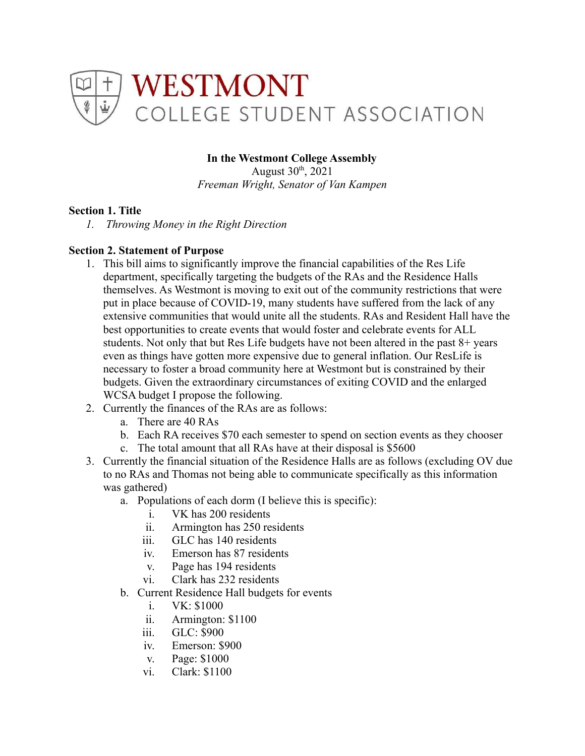

# **In the Westmont College Assembly**

August  $30<sup>th</sup>$ ,  $2021$ *Freeman Wright, Senator of Van Kampen*

### **Section 1. Title**

*1. Throwing Money in the Right Direction*

### **Section 2. Statement of Purpose**

- 1. This bill aims to significantly improve the financial capabilities of the Res Life department, specifically targeting the budgets of the RAs and the Residence Halls themselves. As Westmont is moving to exit out of the community restrictions that were put in place because of COVID-19, many students have suffered from the lack of any extensive communities that would unite all the students. RAs and Resident Hall have the best opportunities to create events that would foster and celebrate events for ALL students. Not only that but Res Life budgets have not been altered in the past 8+ years even as things have gotten more expensive due to general inflation. Our ResLife is necessary to foster a broad community here at Westmont but is constrained by their budgets. Given the extraordinary circumstances of exiting COVID and the enlarged WCSA budget I propose the following.
- 2. Currently the finances of the RAs are as follows:
	- a. There are 40 RAs
	- b. Each RA receives \$70 each semester to spend on section events as they chooser
	- c. The total amount that all RAs have at their disposal is \$5600
- 3. Currently the financial situation of the Residence Halls are as follows (excluding OV due to no RAs and Thomas not being able to communicate specifically as this information was gathered)
	- a. Populations of each dorm (I believe this is specific):
		- i. VK has 200 residents
		- ii. Armington has 250 residents
		- iii. GLC has 140 residents
		- iv. Emerson has 87 residents
		- v. Page has 194 residents
		- vi. Clark has 232 residents
	- b. Current Residence Hall budgets for events
		- i. VK: \$1000
		- ii. Armington: \$1100
		- iii. GLC: \$900
		- iv. Emerson: \$900
		- v. Page: \$1000
		- vi. Clark: \$1100